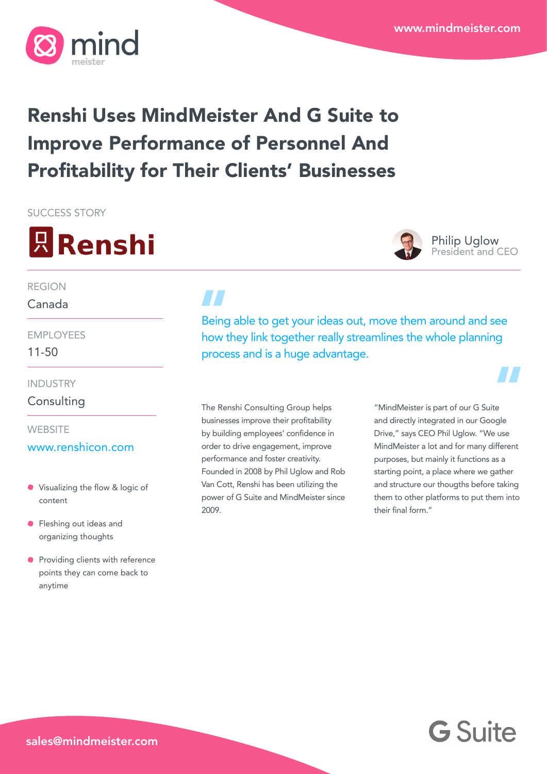

## Renshi Uses MindMeister And G Suite to Improve Performance of Personnel And Profitability for Their Clients' Businesses

SUCCESS STORY





Philip Uglow President and CEO

### REGION

### Canada

11-50 EMPLOYEES

INDUSTRY

**Consulting** 

**WEBSITE** 

### [www.renshicon.com](http://www.renshicon.com)

- Visualizing the flow & logic of content
- **•** Fleshing out ideas and organizing thoughts
- **Providing clients with reference** points they can come back to anytime

Being able to get your ideas out, move them around and see how they link together really streamlines the whole planning process and is a huge advantage.

The Renshi Consulting Group helps businesses improve their profitability by building employees' confidence in order to drive engagement, improve performance and foster creativity. Founded in 2008 by Phil Uglow and Rob Van Cott, Renshi has been utilizing the power of G Suite and MindMeister since 2009.

"MindMeister is part of our G Suite and directly integrated in our Google Drive," says CEO Phil Uglow. "We use MindMeister a lot and for many different purposes, but mainly it functions as a starting point, a place where we gather and structure our thougths before taking them to other platforms to put them into their final form."